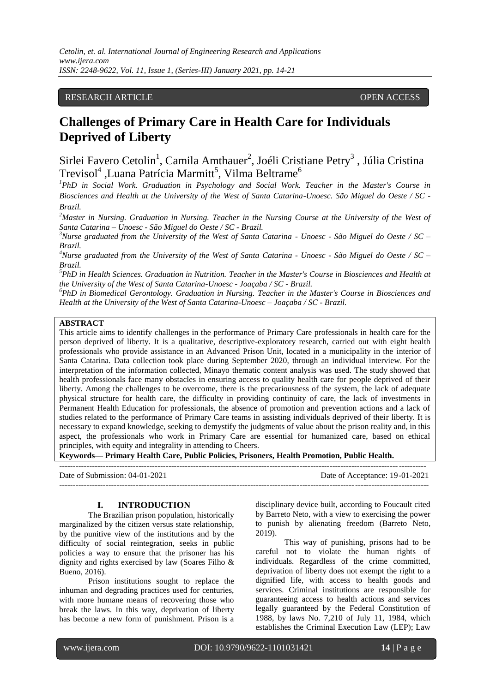## RESEARCH ARTICLE **OPEN ACCESS**

# **Challenges of Primary Care in Health Care for Individuals Deprived of Liberty**

Sirlei Favero Cetolin<sup>1</sup>, Camila Amthauer<sup>2</sup>, Joéli Cristiane Petry<sup>3</sup>, Júlia Cristina Trevisol<sup>4</sup> ,Luana Patrícia Marmitt<sup>5</sup>, Vilma Beltrame<sup>6</sup>

<sup>1</sup>PhD in Social Work. Graduation in Psychology and Social Work. Teacher in the Master's Course in *Biosciences and Health at the University of the West of Santa Catarina-Unoesc. São Miguel do Oeste / SC - Brazil.* 

*<sup>2</sup>Master in Nursing. Graduation in Nursing. Teacher in the Nursing Course at the University of the West of Santa Catarina – Unoesc - São Miguel do Oeste / SC - Brazil.* 

*<sup>3</sup>Nurse graduated from the University of the West of Santa Catarina - Unoesc - São Miguel do Oeste / SC – Brazil.*

*<sup>4</sup>Nurse graduated from the University of the West of Santa Catarina - Unoesc - São Miguel do Oeste / SC – Brazil.*

*<sup>5</sup>PhD in Health Sciences. Graduation in Nutrition. Teacher in the Master's Course in Biosciences and Health at the University of the West of Santa Catarina-Unoesc - Joaçaba / SC - Brazil.* 

*<sup>6</sup>PhD in Biomedical Gerontology. Graduation in Nursing. Teacher in the Master's Course in Biosciences and Health at the University of the West of Santa Catarina-Unoesc – Joaçaba / SC - Brazil.*

## **ABSTRACT**

This article aims to identify challenges in the performance of Primary Care professionals in health care for the person deprived of liberty. It is a qualitative, descriptive-exploratory research, carried out with eight health professionals who provide assistance in an Advanced Prison Unit, located in a municipality in the interior of Santa Catarina. Data collection took place during September 2020, through an individual interview. For the interpretation of the information collected, Minayo thematic content analysis was used. The study showed that health professionals face many obstacles in ensuring access to quality health care for people deprived of their liberty. Among the challenges to be overcome, there is the precariousness of the system, the lack of adequate physical structure for health care, the difficulty in providing continuity of care, the lack of investments in Permanent Health Education for professionals, the absence of promotion and prevention actions and a lack of studies related to the performance of Primary Care teams in assisting individuals deprived of their liberty. It is necessary to expand knowledge, seeking to demystify the judgments of value about the prison reality and, in this aspect, the professionals who work in Primary Care are essential for humanized care, based on ethical principles, with equity and integrality in attending to Cheers.

**Keywords— Primary Health Care, Public Policies, Prisoners, Health Promotion, Public Health.**

-------------------------------------------------------------------------------------------------------------------------------------- Date of Submission: 04-01-2021 Date of Acceptance: 19-01-2021 ---------------------------------------------------------------------------------------------------------------------------------------

## **I. INTRODUCTION**

The Brazilian prison population, historically marginalized by the citizen versus state relationship, by the punitive view of the institutions and by the difficulty of social reintegration, seeks in public policies a way to ensure that the prisoner has his dignity and rights exercised by law (Soares Filho & Bueno, 2016).

Prison institutions sought to replace the inhuman and degrading practices used for centuries, with more humane means of recovering those who break the laws. In this way, deprivation of liberty has become a new form of punishment. Prison is a disciplinary device built, according to Foucault cited by Barreto Neto, with a view to exercising the power to punish by alienating freedom (Barreto Neto, 2019).

This way of punishing, prisons had to be careful not to violate the human rights of individuals. Regardless of the crime committed, deprivation of liberty does not exempt the right to a dignified life, with access to health goods and services. Criminal institutions are responsible for guaranteeing access to health actions and services legally guaranteed by the Federal Constitution of 1988, by laws No. 7,210 of July 11, 1984, which establishes the Criminal Execution Law (LEP); Law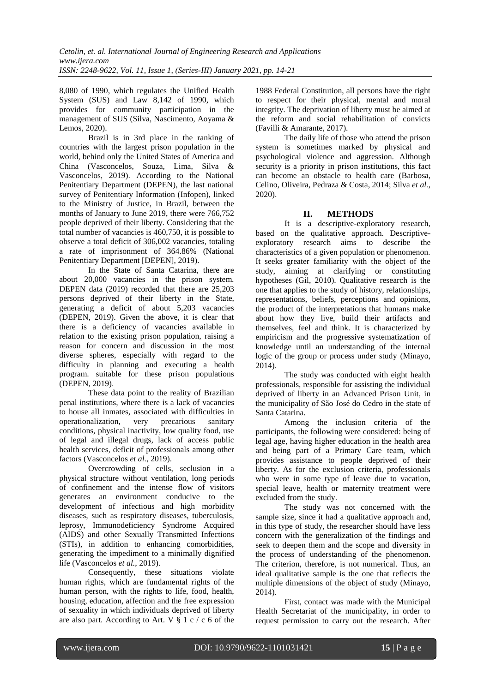8,080 of 1990, which regulates the Unified Health System (SUS) and Law 8,142 of 1990, which provides for community participation in the management of SUS (Silva, Nascimento, Aoyama & Lemos, 2020).

Brazil is in 3rd place in the ranking of countries with the largest prison population in the world, behind only the United States of America and China (Vasconcelos, Souza, Lima, Silva & Vasconcelos, 2019). According to the National Penitentiary Department (DEPEN), the last national survey of Penitentiary Information (Infopen), linked to the Ministry of Justice, in Brazil, between the months of January to June 2019, there were 766,752 people deprived of their liberty. Considering that the total number of vacancies is 460,750, it is possible to observe a total deficit of 306,002 vacancies, totaling a rate of imprisonment of 364.86% (National Penitentiary Department [DEPEN], 2019).

In the State of Santa Catarina, there are about 20,000 vacancies in the prison system. DEPEN data (2019) recorded that there are 25,203 persons deprived of their liberty in the State, generating a deficit of about 5,203 vacancies (DEPEN, 2019). Given the above, it is clear that there is a deficiency of vacancies available in relation to the existing prison population, raising a reason for concern and discussion in the most diverse spheres, especially with regard to the difficulty in planning and executing a health program. suitable for these prison populations (DEPEN, 2019).

These data point to the reality of Brazilian penal institutions, where there is a lack of vacancies to house all inmates, associated with difficulties in operationalization, very precarious sanitary operationalization, very precarious sanitary conditions, physical inactivity, low quality food, use of legal and illegal drugs, lack of access public health services, deficit of professionals among other factors (Vasconcelos *et al.*, 2019).

Overcrowding of cells, seclusion in a physical structure without ventilation, long periods of confinement and the intense flow of visitors generates an environment conducive to the development of infectious and high morbidity diseases, such as respiratory diseases, tuberculosis, leprosy, Immunodeficiency Syndrome Acquired (AIDS) and other Sexually Transmitted Infections (STIs), in addition to enhancing comorbidities, generating the impediment to a minimally dignified life (Vasconcelos *et al.*, 2019).

Consequently, these situations violate human rights, which are fundamental rights of the human person, with the rights to life, food, health, housing, education, affection and the free expression of sexuality in which individuals deprived of liberty are also part. According to Art. V § 1 c / c 6 of the

1988 Federal Constitution, all persons have the right to respect for their physical, mental and moral integrity. The deprivation of liberty must be aimed at the reform and social rehabilitation of convicts (Favilli & Amarante, 2017).

The daily life of those who attend the prison system is sometimes marked by physical and psychological violence and aggression. Although security is a priority in prison institutions, this fact can become an obstacle to health care (Barbosa, Celino, Oliveira, Pedraza & Costa, 2014; Silva *et al.*, 2020).

## **II. METHODS**

It is a descriptive-exploratory research, based on the qualitative approach. Descriptiveexploratory research aims to describe the characteristics of a given population or phenomenon. It seeks greater familiarity with the object of the study, aiming at clarifying or constituting hypotheses (Gil, 2010). Qualitative research is the one that applies to the study of history, relationships, representations, beliefs, perceptions and opinions, the product of the interpretations that humans make about how they live, build their artifacts and themselves, feel and think. It is characterized by empiricism and the progressive systematization of knowledge until an understanding of the internal logic of the group or process under study (Minayo, 2014).

The study was conducted with eight health professionals, responsible for assisting the individual deprived of liberty in an Advanced Prison Unit, in the municipality of São José do Cedro in the state of Santa Catarina.

Among the inclusion criteria of the participants, the following were considered: being of legal age, having higher education in the health area and being part of a Primary Care team, which provides assistance to people deprived of their liberty. As for the exclusion criteria, professionals who were in some type of leave due to vacation, special leave, health or maternity treatment were excluded from the study.

The study was not concerned with the sample size, since it had a qualitative approach and, in this type of study, the researcher should have less concern with the generalization of the findings and seek to deepen them and the scope and diversity in the process of understanding of the phenomenon. The criterion, therefore, is not numerical. Thus, an ideal qualitative sample is the one that reflects the multiple dimensions of the object of study (Minayo, 2014).

First, contact was made with the Municipal Health Secretariat of the municipality, in order to request permission to carry out the research. After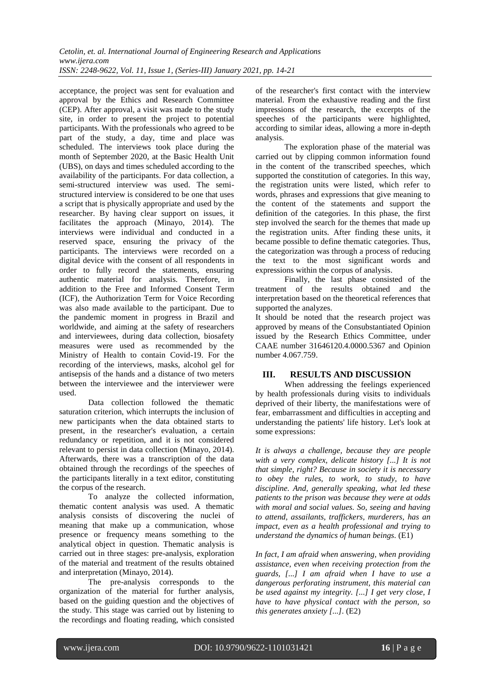acceptance, the project was sent for evaluation and approval by the Ethics and Research Committee (CEP). After approval, a visit was made to the study site, in order to present the project to potential participants. With the professionals who agreed to be part of the study, a day, time and place was scheduled. The interviews took place during the month of September 2020, at the Basic Health Unit (UBS), on days and times scheduled according to the availability of the participants. For data collection, a semi-structured interview was used. The semistructured interview is considered to be one that uses a script that is physically appropriate and used by the researcher. By having clear support on issues, it facilitates the approach (Minayo, 2014). The interviews were individual and conducted in a reserved space, ensuring the privacy of the participants. The interviews were recorded on a digital device with the consent of all respondents in order to fully record the statements, ensuring authentic material for analysis. Therefore, in addition to the Free and Informed Consent Term (ICF), the Authorization Term for Voice Recording was also made available to the participant. Due to the pandemic moment in progress in Brazil and worldwide, and aiming at the safety of researchers and interviewees, during data collection, biosafety measures were used as recommended by the Ministry of Health to contain Covid-19. For the recording of the interviews, masks, alcohol gel for antisepsis of the hands and a distance of two meters between the interviewee and the interviewer were used.

Data collection followed the thematic saturation criterion, which interrupts the inclusion of new participants when the data obtained starts to present, in the researcher's evaluation, a certain redundancy or repetition, and it is not considered relevant to persist in data collection (Minayo, 2014). Afterwards, there was a transcription of the data obtained through the recordings of the speeches of the participants literally in a text editor, constituting the corpus of the research.

To analyze the collected information, thematic content analysis was used. A thematic analysis consists of discovering the nuclei of meaning that make up a communication, whose presence or frequency means something to the analytical object in question. Thematic analysis is carried out in three stages: pre-analysis, exploration of the material and treatment of the results obtained and interpretation (Minayo, 2014).

The pre-analysis corresponds to the organization of the material for further analysis, based on the guiding question and the objectives of the study. This stage was carried out by listening to the recordings and floating reading, which consisted

of the researcher's first contact with the interview material. From the exhaustive reading and the first impressions of the research, the excerpts of the speeches of the participants were highlighted, according to similar ideas, allowing a more in-depth analysis.

The exploration phase of the material was carried out by clipping common information found in the content of the transcribed speeches, which supported the constitution of categories. In this way, the registration units were listed, which refer to words, phrases and expressions that give meaning to the content of the statements and support the definition of the categories. In this phase, the first step involved the search for the themes that made up the registration units. After finding these units, it became possible to define thematic categories. Thus, the categorization was through a process of reducing the text to the most significant words and expressions within the corpus of analysis.

Finally, the last phase consisted of the treatment of the results obtained and the interpretation based on the theoretical references that supported the analyzes.

It should be noted that the research project was approved by means of the Consubstantiated Opinion issued by the Research Ethics Committee, under CAAE number 31646120.4.0000.5367 and Opinion number 4.067.759.

## **III. RESULTS AND DISCUSSION**

When addressing the feelings experienced by health professionals during visits to individuals deprived of their liberty, the manifestations were of fear, embarrassment and difficulties in accepting and understanding the patients' life history. Let's look at some expressions:

*It is always a challenge, because they are people with a very complex, delicate history [...] It is not that simple, right? Because in society it is necessary to obey the rules, to work, to study, to have discipline. And, generally speaking, what led these patients to the prison was because they were at odds with moral and social values. So, seeing and having to attend, assailants, traffickers, murderers, has an impact, even as a health professional and trying to understand the dynamics of human beings.* (E1)

*In fact, I am afraid when answering, when providing assistance, even when receiving protection from the guards, [...] I am afraid when I have to use a dangerous perforating instrument, this material can be used against my integrity. [...] I get very close, I have to have physical contact with the person, so this generates anxiety [...].* (E2)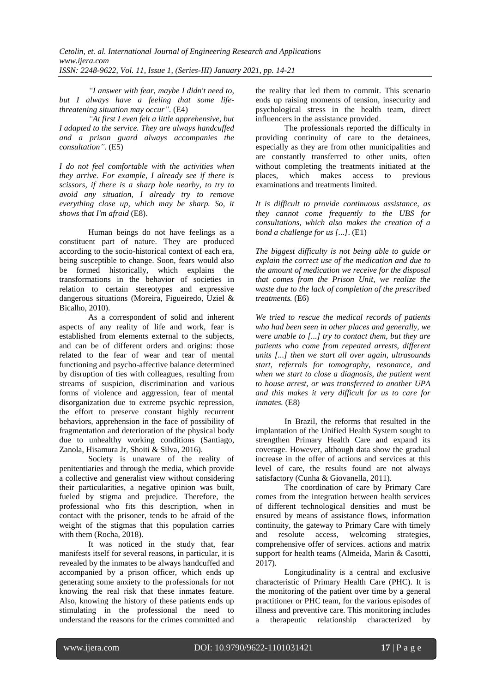*"I answer with fear, maybe I didn't need to, but I always have a feeling that some lifethreatening situation may occur".* (E4)

*"At first I even felt a little apprehensive, but I adapted to the service. They are always handcuffed and a prison guard always accompanies the consultation".* (E5)

*I do not feel comfortable with the activities when they arrive. For example, I already see if there is scissors, if there is a sharp hole nearby, to try to avoid any situation, I already try to remove everything close up, which may be sharp. So, it shows that I'm afraid* (E8).

Human beings do not have feelings as a constituent part of nature. They are produced according to the socio-historical context of each era, being susceptible to change. Soon, fears would also be formed historically, which explains the transformations in the behavior of societies in relation to certain stereotypes and expressive dangerous situations (Moreira, Figueiredo, Uziel & Bicalho, 2010).

As a correspondent of solid and inherent aspects of any reality of life and work, fear is established from elements external to the subjects, and can be of different orders and origins: those related to the fear of wear and tear of mental functioning and psycho-affective balance determined by disruption of ties with colleagues, resulting from streams of suspicion, discrimination and various forms of violence and aggression, fear of mental disorganization due to extreme psychic repression, the effort to preserve constant highly recurrent behaviors, apprehension in the face of possibility of fragmentation and deterioration of the physical body due to unhealthy working conditions (Santiago, Zanola, Hisamura Jr, Shoiti & Silva, 2016).

Society is unaware of the reality of penitentiaries and through the media, which provide a collective and generalist view without considering their particularities, a negative opinion was built, fueled by stigma and prejudice. Therefore, the professional who fits this description, when in contact with the prisoner, tends to be afraid of the weight of the stigmas that this population carries with them (Rocha, 2018).

It was noticed in the study that, fear manifests itself for several reasons, in particular, it is revealed by the inmates to be always handcuffed and accompanied by a prison officer, which ends up generating some anxiety to the professionals for not knowing the real risk that these inmates feature. Also, knowing the history of these patients ends up stimulating in the professional the need to understand the reasons for the crimes committed and the reality that led them to commit. This scenario ends up raising moments of tension, insecurity and psychological stress in the health team, direct influencers in the assistance provided.

The professionals reported the difficulty in providing continuity of care to the detainees, especially as they are from other municipalities and are constantly transferred to other units, often without completing the treatments initiated at the places, which makes access to previous which makes access to previous examinations and treatments limited.

*It is difficult to provide continuous assistance, as they cannot come frequently to the UBS for consultations, which also makes the creation of a bond a challenge for us [...]*. (E1)

*The biggest difficulty is not being able to guide or explain the correct use of the medication and due to the amount of medication we receive for the disposal that comes from the Prison Unit, we realize the waste due to the lack of completion of the prescribed treatments.* (E6)

*We tried to rescue the medical records of patients who had been seen in other places and generally, we were unable to [...] try to contact them, but they are patients who come from repeated arrests, different units [...] then we start all over again, ultrasounds start, referrals for tomography, resonance, and when we start to close a diagnosis, the patient went to house arrest, or was transferred to another UPA and this makes it very difficult for us to care for inmates.* (E8)

In Brazil, the reforms that resulted in the implantation of the Unified Health System sought to strengthen Primary Health Care and expand its coverage. However, although data show the gradual increase in the offer of actions and services at this level of care, the results found are not always satisfactory (Cunha & Giovanella, 2011).

The coordination of care by Primary Care comes from the integration between health services of different technological densities and must be ensured by means of assistance flows, information continuity, the gateway to Primary Care with timely and resolute access, welcoming strategies, comprehensive offer of services. actions and matrix support for health teams (Almeida, Marin & Casotti, 2017).

Longitudinality is a central and exclusive characteristic of Primary Health Care (PHC). It is the monitoring of the patient over time by a general practitioner or PHC team, for the various episodes of illness and preventive care. This monitoring includes a therapeutic relationship characterized by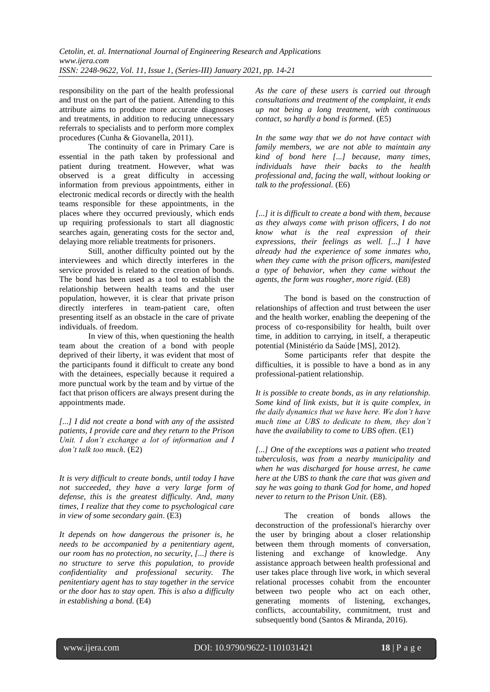responsibility on the part of the health professional and trust on the part of the patient. Attending to this attribute aims to produce more accurate diagnoses and treatments, in addition to reducing unnecessary referrals to specialists and to perform more complex procedures (Cunha & Giovanella, 2011).

The continuity of care in Primary Care is essential in the path taken by professional and patient during treatment. However, what was observed is a great difficulty in accessing information from previous appointments, either in electronic medical records or directly with the health teams responsible for these appointments, in the places where they occurred previously, which ends up requiring professionals to start all diagnostic searches again, generating costs for the sector and, delaying more reliable treatments for prisoners.

Still, another difficulty pointed out by the interviewees and which directly interferes in the service provided is related to the creation of bonds. The bond has been used as a tool to establish the relationship between health teams and the user population, however, it is clear that private prison directly interferes in team-patient care, often presenting itself as an obstacle in the care of private individuals. of freedom.

In view of this, when questioning the health team about the creation of a bond with people deprived of their liberty, it was evident that most of the participants found it difficult to create any bond with the detainees, especially because it required a more punctual work by the team and by virtue of the fact that prison officers are always present during the appointments made.

*[...] I did not create a bond with any of the assisted patients, I provide care and they return to the Prison Unit. I don't exchange a lot of information and I don't talk too much.* (E2)

*It is very difficult to create bonds, until today I have not succeeded, they have a very large form of defense, this is the greatest difficulty. And, many times, I realize that they come to psychological care in view of some secondary gain*. (E3)

*It depends on how dangerous the prisoner is, he needs to be accompanied by a penitentiary agent, our room has no protection, no security, [...] there is no structure to serve this population, to provide confidentiality and professional security. The penitentiary agent has to stay together in the service or the door has to stay open. This is also a difficulty in establishing a bond.* (E4)

*As the care of these users is carried out through consultations and treatment of the complaint, it ends up not being a long treatment, with continuous contact, so hardly a bond is formed.* (E5)

*In the same way that we do not have contact with family members, we are not able to maintain any kind of bond here [...] because, many times, individuals have their backs to the health professional and, facing the wall, without looking or talk to the professional.* (E6)

*[...] it is difficult to create a bond with them, because as they always come with prison officers, I do not know what is the real expression of their expressions, their feelings as well. [...] I have already had the experience of some inmates who, when they came with the prison officers, manifested a type of behavior, when they came without the agents, the form was rougher, more rigid.* (E8)

The bond is based on the construction of relationships of affection and trust between the user and the health worker, enabling the deepening of the process of co-responsibility for health, built over time, in addition to carrying, in itself, a therapeutic potential (Ministério da Saúde [MS], 2012).

Some participants refer that despite the difficulties, it is possible to have a bond as in any professional-patient relationship.

*It is possible to create bonds, as in any relationship. Some kind of link exists, but it is quite complex, in the daily dynamics that we have here. We don't have much time at UBS to dedicate to them, they don't have the availability to come to UBS often.* (E1)

*[...] One of the exceptions was a patient who treated tuberculosis, was from a nearby municipality and when he was discharged for house arrest, he came here at the UBS to thank the care that was given and say he was going to thank God for home, and hoped never to return to the Prison Unit.* (E8).

The creation of bonds allows the deconstruction of the professional's hierarchy over the user by bringing about a closer relationship between them through moments of conversation, listening and exchange of knowledge. Any assistance approach between health professional and user takes place through live work, in which several relational processes cohabit from the encounter between two people who act on each other, generating moments of listening, exchanges, conflicts, accountability, commitment, trust and subsequently bond (Santos & Miranda, 2016).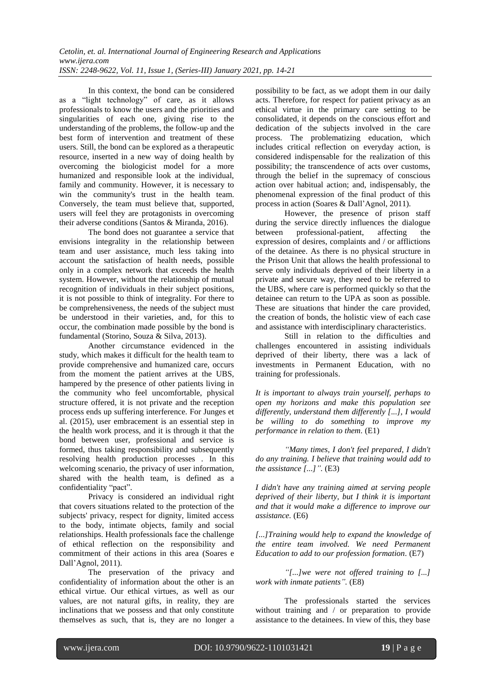In this context, the bond can be considered as a "light technology" of care, as it allows professionals to know the users and the priorities and singularities of each one, giving rise to the understanding of the problems, the follow-up and the best form of intervention and treatment of these users. Still, the bond can be explored as a therapeutic resource, inserted in a new way of doing health by overcoming the biologicist model for a more humanized and responsible look at the individual, family and community. However, it is necessary to win the community's trust in the health team. Conversely, the team must believe that, supported, users will feel they are protagonists in overcoming their adverse conditions (Santos & Miranda, 2016).

The bond does not guarantee a service that envisions integrality in the relationship between team and user assistance, much less taking into account the satisfaction of health needs, possible only in a complex network that exceeds the health system. However, without the relationship of mutual recognition of individuals in their subject positions, it is not possible to think of integrality. For there to be comprehensiveness, the needs of the subject must be understood in their varieties, and, for this to occur, the combination made possible by the bond is fundamental (Storino, Souza & Silva, 2013).

Another circumstance evidenced in the study, which makes it difficult for the health team to provide comprehensive and humanized care, occurs from the moment the patient arrives at the UBS, hampered by the presence of other patients living in the community who feel uncomfortable, physical structure offered, it is not private and the reception process ends up suffering interference. For Junges et al. (2015), user embracement is an essential step in the health work process, and it is through it that the bond between user, professional and service is formed, thus taking responsibility and subsequently resolving health production processes . In this welcoming scenario, the privacy of user information, shared with the health team, is defined as a confidentiality "pact".

Privacy is considered an individual right that covers situations related to the protection of the subjects' privacy, respect for dignity, limited access to the body, intimate objects, family and social relationships. Health professionals face the challenge of ethical reflection on the responsibility and commitment of their actions in this area (Soares e Dall'Agnol, 2011).

The preservation of the privacy and confidentiality of information about the other is an ethical virtue. Our ethical virtues, as well as our values, are not natural gifts, in reality, they are inclinations that we possess and that only constitute themselves as such, that is, they are no longer a

possibility to be fact, as we adopt them in our daily acts. Therefore, for respect for patient privacy as an ethical virtue in the primary care setting to be consolidated, it depends on the conscious effort and dedication of the subjects involved in the care process. The problematizing education, which includes critical reflection on everyday action, is considered indispensable for the realization of this possibility; the transcendence of acts over customs, through the belief in the supremacy of conscious action over habitual action; and, indispensably, the phenomenal expression of the final product of this process in action (Soares & Dall'Agnol, 2011).

However, the presence of prison staff during the service directly influences the dialogue between professional-patient, affecting the expression of desires, complaints and / or afflictions of the detainee. As there is no physical structure in the Prison Unit that allows the health professional to serve only individuals deprived of their liberty in a private and secure way, they need to be referred to the UBS, where care is performed quickly so that the detainee can return to the UPA as soon as possible. These are situations that hinder the care provided, the creation of bonds, the holistic view of each case and assistance with interdisciplinary characteristics.

Still in relation to the difficulties and challenges encountered in assisting individuals deprived of their liberty, there was a lack of investments in Permanent Education, with no training for professionals.

*It is important to always train yourself, perhaps to open my horizons and make this population see differently, understand them differently [...], I would be willing to do something to improve my performance in relation to them.* (E1)

*"Many times, I don't feel prepared, I didn't do any training. I believe that training would add to the assistance [...]".* (E3)

*I didn't have any training aimed at serving people deprived of their liberty, but I think it is important and that it would make a difference to improve our assistance.* (E6)

*[...]Training would help to expand the knowledge of the entire team involved. We need Permanent Education to add to our profession formation.* (E7)

*"[...]we were not offered training to [...] work with inmate patients".* (E8)

The professionals started the services without training and / or preparation to provide assistance to the detainees. In view of this, they base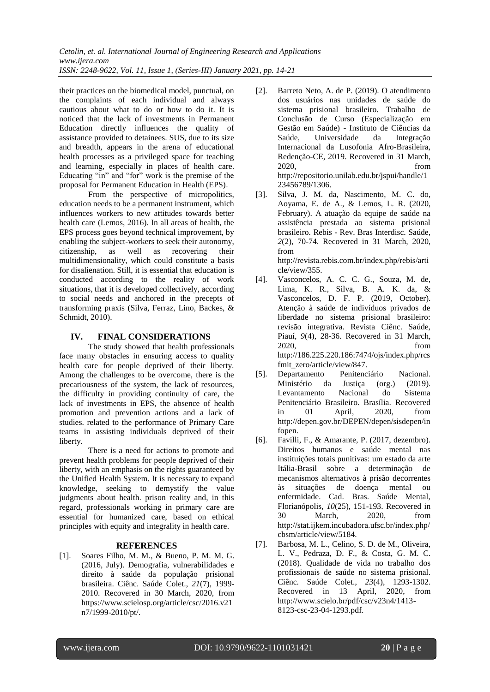*Cetolin, et. al. International Journal of Engineering Research and Applications www.ijera.com ISSN: 2248-9622, Vol. 11, Issue 1, (Series-III) January 2021, pp. 14-21*

their practices on the biomedical model, punctual, on the complaints of each individual and always cautious about what to do or how to do it. It is noticed that the lack of investments in Permanent Education directly influences the quality of assistance provided to detainees. SUS, due to its size and breadth, appears in the arena of educational health processes as a privileged space for teaching and learning, especially in places of health care. Educating "in" and "for" work is the premise of the proposal for Permanent Education in Health (EPS).

From the perspective of micropolitics, education needs to be a permanent instrument, which influences workers to new attitudes towards better health care (Lemos, 2016). In all areas of health, the EPS process goes beyond technical improvement, by enabling the subject-workers to seek their autonomy, citizenship, as well as recovering their multidimensionality, which could constitute a basis for disalienation. Still, it is essential that education is conducted according to the reality of work situations, that it is developed collectively, according to social needs and anchored in the precepts of transforming praxis (Silva, Ferraz, Lino, Backes, & Schmidt, 2010).

## **IV. FINAL CONSIDERATIONS**

The study showed that health professionals face many obstacles in ensuring access to quality health care for people deprived of their liberty. Among the challenges to be overcome, there is the precariousness of the system, the lack of resources, the difficulty in providing continuity of care, the lack of investments in EPS, the absence of health promotion and prevention actions and a lack of studies. related to the performance of Primary Care teams in assisting individuals deprived of their liberty.

There is a need for actions to promote and prevent health problems for people deprived of their liberty, with an emphasis on the rights guaranteed by the Unified Health System. It is necessary to expand knowledge, seeking to demystify the value judgments about health. prison reality and, in this regard, professionals working in primary care are essential for humanized care, based on ethical principles with equity and integrality in health care.

## **REFERENCES**

[1]. Soares Filho, M. M., & Bueno, P. M. M. G. (2016, July). Demografia, vulnerabilidades e direito à saúde da população prisional brasileira. Ciênc. Saúde Colet., *21*(7), 1999- 2010. Recovered in 30 March, 2020, from https://www.scielosp.org/article/csc/2016.v21 n7/1999-2010/pt/.

- [2]. Barreto Neto, A. de P. (2019). O atendimento dos usuários nas unidades de saúde do sistema prisional brasileiro. Trabalho de Conclusão de Curso (Especialização em Gestão em Saúde) - Instituto de Ciências da Saúde, Universidade da Integração Internacional da Lusofonia Afro-Brasileira, Redenção-CE, 2019. Recovered in 31 March, 2020, from http://repositorio.unilab.edu.br/jspui/handle/1 23456789/1306.
- [3]. Silva, J. M. da, Nascimento, M. C. do, Aoyama, E. de A., & Lemos, L. R. (2020, February). A atuação da equipe de saúde na assistência prestada ao sistema prisional brasileiro. Rebis - Rev. Bras Interdisc. Saúde, *2*(2), 70-74. Recovered in 31 March, 2020, from

http://revista.rebis.com.br/index.php/rebis/arti cle/view/355.

- [4]. Vasconcelos, A. C. C. G., Souza, M. de, Lima, K. R., Silva, B. A. K. da, & Vasconcelos, D. F. P. (2019, October). Atenção à saúde de indivíduos privados de liberdade no sistema prisional brasileiro: revisão integrativa. Revista Ciênc. Saúde, Piauí, *9*(4), 28-36. Recovered in 31 March, 2020, from http://186.225.220.186:7474/ojs/index.php/rcs
- fmit\_zero/article/view/847.<br>Departamento Penitenciário [5]. Departamento Penitenciário Nacional. Ministério da Justiça (org.) (2019). Levantamento Nacional do Sistema Penitenciário Brasileiro. Brasília. Recovered in 01 April, 2020, from http://depen.gov.br/DEPEN/depen/sisdepen/in fopen.
- [6]. Favilli, F., & Amarante, P. (2017, dezembro). Direitos humanos e saúde mental nas instituições totais punitivas: um estado da arte Itália-Brasil sobre a determinação de mecanismos alternativos à prisão decorrentes às situações de doença mental ou enfermidade. Cad. Bras. Saúde Mental, Florianópolis, *10*(25), 151-193. Recovered in 30 March, 2020, from http://stat.ijkem.incubadora.ufsc.br/index.php/ cbsm/article/view/5184.
- [7]. Barbosa, M. L., Celino, S. D. de M., Oliveira, L. V., Pedraza, D. F., & Costa, G. M. C. (2018). Qualidade de vida no trabalho dos profissionais de saúde no sistema prisional. Ciênc. Saúde Colet., *23*(4), 1293-1302. Recovered in 13 April, 2020, from http://www.scielo.br/pdf/csc/v23n4/1413- 8123-csc-23-04-1293.pdf.